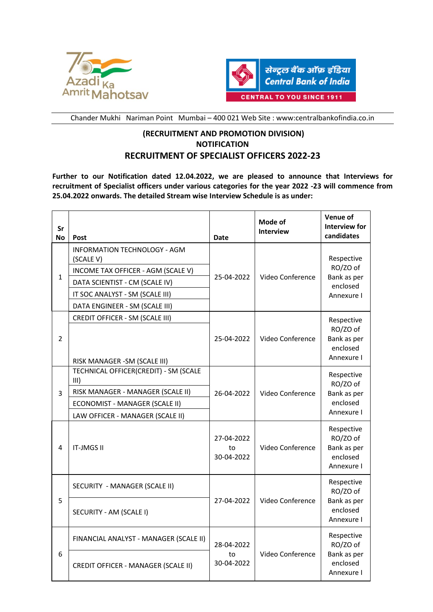



Chander Mukhi Nariman Point Mumbai – 400 021 Web Site : www:centralbankofindia.co.in

## **(RECRUITMENT AND PROMOTION DIVISION) NOTIFICATION RECRUITMENT OF SPECIALIST OFFICERS 2022-23**

**Further to our Notification dated 12.04.2022, we are pleased to announce that Interviews for recruitment of Specialist officers under various categories for the year 2022 -23 will commence from 25.04.2022 onwards. The detailed Stream wise Interview Schedule is as under:**

| Sr<br>No     | Post                                                                                                                                                                                          | <b>Date</b>                    | Mode of<br><b>Interview</b> | <b>Venue of</b><br>Interview for<br>candidates                  |
|--------------|-----------------------------------------------------------------------------------------------------------------------------------------------------------------------------------------------|--------------------------------|-----------------------------|-----------------------------------------------------------------|
| $\mathbf{1}$ | <b>INFORMATION TECHNOLOGY - AGM</b><br>(SCALE V)<br>INCOME TAX OFFICER - AGM (SCALE V)<br>DATA SCIENTIST - CM (SCALE IV)<br>IT SOC ANALYST - SM (SCALE III)<br>DATA ENGINEER - SM (SCALE III) | 25-04-2022                     | Video Conference            | Respective<br>RO/ZO of<br>Bank as per<br>enclosed<br>Annexure I |
| 2            | CREDIT OFFICER - SM (SCALE III)<br>RISK MANAGER - SM (SCALE III)                                                                                                                              | 25-04-2022                     | Video Conference            | Respective<br>RO/ZO of<br>Bank as per<br>enclosed<br>Annexure I |
| 3            | TECHNICAL OFFICER(CREDIT) - SM (SCALE<br>III)<br>RISK MANAGER - MANAGER (SCALE II)<br>ECONOMIST - MANAGER (SCALE II)<br>LAW OFFICER - MANAGER (SCALE II)                                      | 26-04-2022                     | Video Conference            | Respective<br>RO/ZO of<br>Bank as per<br>enclosed<br>Annexure I |
| 4            | <b>IT-JMGS II</b>                                                                                                                                                                             | 27-04-2022<br>to<br>30-04-2022 | Video Conference            | Respective<br>RO/ZO of<br>Bank as per<br>enclosed<br>Annexure I |
| 5            | SECURITY - MANAGER (SCALE II)                                                                                                                                                                 | 27-04-2022                     | Video Conference            | Respective<br>RO/ZO of                                          |
|              | SECURITY - AM (SCALE I)                                                                                                                                                                       |                                |                             | Bank as per<br>enclosed<br>Annexure I                           |
| 6            | FINANCIAL ANALYST - MANAGER (SCALE II)                                                                                                                                                        | 28-04-2022<br>to<br>30-04-2022 | Video Conference            | Respective<br>RO/ZO of                                          |
|              | <b>CREDIT OFFICER - MANAGER (SCALE II)</b>                                                                                                                                                    |                                |                             | Bank as per<br>enclosed<br>Annexure I                           |